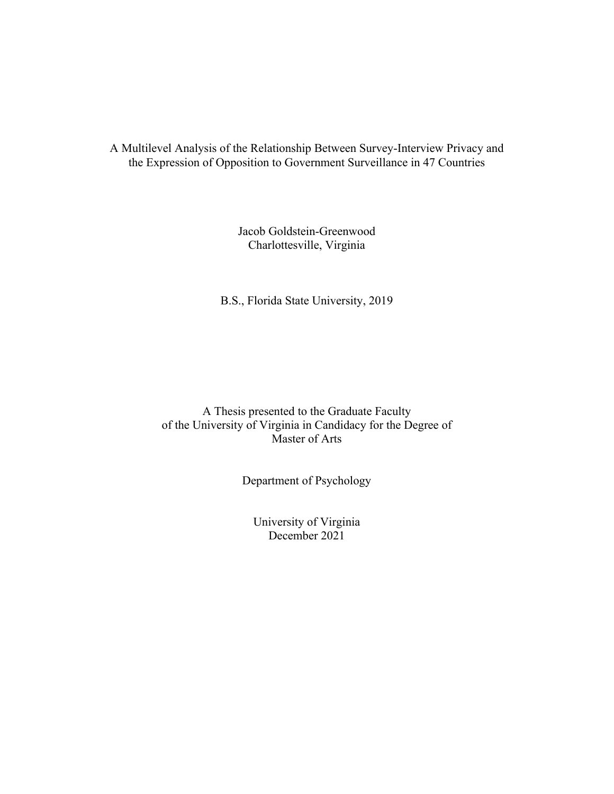A Multilevel Analysis of the Relationship Between Survey-Interview Privacy and the Expression of Opposition to Government Surveillance in 47 Countries

> Jacob Goldstein-Greenwood Charlottesville, Virginia

B.S., Florida State University, 2019

A Thesis presented to the Graduate Faculty of the University of Virginia in Candidacy for the Degree of Master of Arts

Department of Psychology

University of Virginia December 2021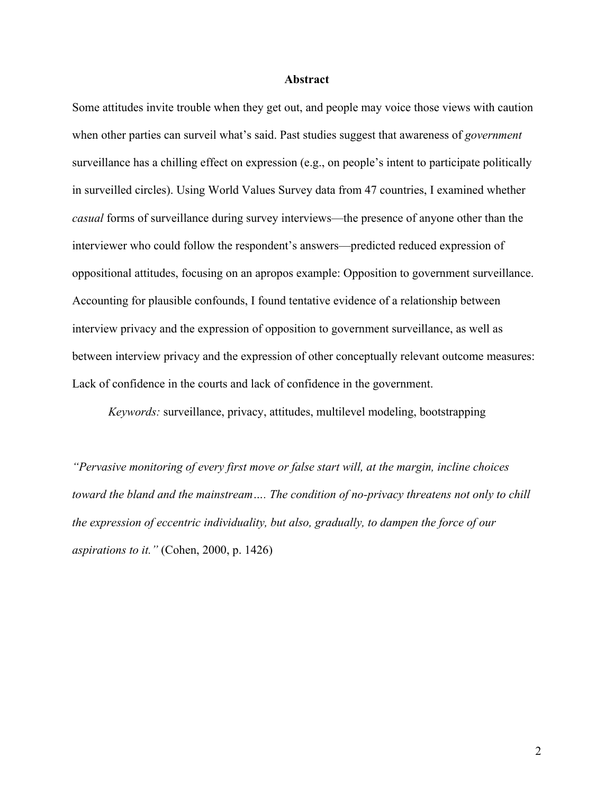### **Abstract**

Some attitudes invite trouble when they get out, and people may voice those views with caution when other parties can surveil what's said. Past studies suggest that awareness of *government*  surveillance has a chilling effect on expression (e.g., on people's intent to participate politically in surveilled circles). Using World Values Survey data from 47 countries, I examined whether *casual* forms of surveillance during survey interviews—the presence of anyone other than the interviewer who could follow the respondent's answers—predicted reduced expression of oppositional attitudes, focusing on an apropos example: Opposition to government surveillance. Accounting for plausible confounds, I found tentative evidence of a relationship between interview privacy and the expression of opposition to government surveillance, as well as between interview privacy and the expression of other conceptually relevant outcome measures: Lack of confidence in the courts and lack of confidence in the government.

*Keywords:* surveillance, privacy, attitudes, multilevel modeling, bootstrapping

*"Pervasive monitoring of every first move or false start will, at the margin, incline choices toward the bland and the mainstream…. The condition of no-privacy threatens not only to chill the expression of eccentric individuality, but also, gradually, to dampen the force of our aspirations to it."* (Cohen, 2000, p. 1426)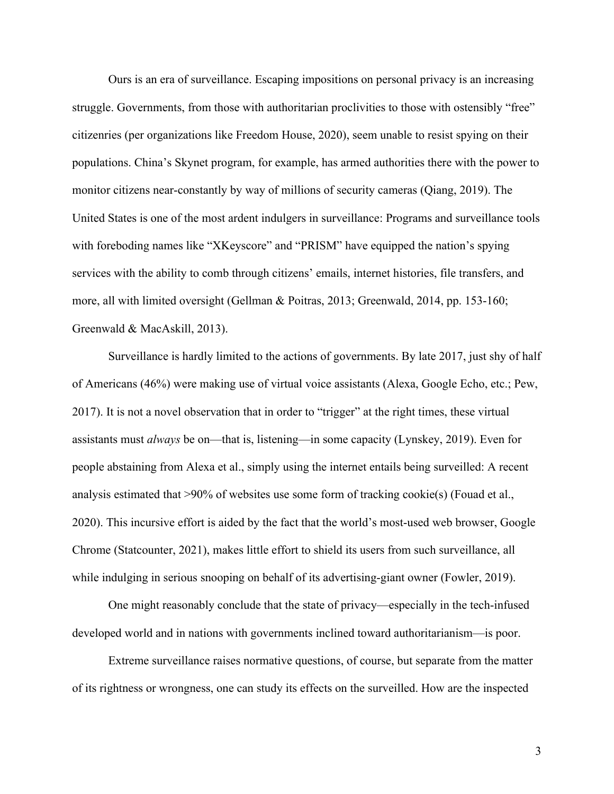Ours is an era of surveillance. Escaping impositions on personal privacy is an increasing struggle. Governments, from those with authoritarian proclivities to those with ostensibly "free" citizenries (per organizations like Freedom House, 2020), seem unable to resist spying on their populations. China's Skynet program, for example, has armed authorities there with the power to monitor citizens near-constantly by way of millions of security cameras (Qiang, 2019). The United States is one of the most ardent indulgers in surveillance: Programs and surveillance tools with foreboding names like "XKeyscore" and "PRISM" have equipped the nation's spying services with the ability to comb through citizens' emails, internet histories, file transfers, and more, all with limited oversight (Gellman & Poitras, 2013; Greenwald, 2014, pp. 153-160; Greenwald & MacAskill, 2013).

Surveillance is hardly limited to the actions of governments. By late 2017, just shy of half of Americans (46%) were making use of virtual voice assistants (Alexa, Google Echo, etc.; Pew, 2017). It is not a novel observation that in order to "trigger" at the right times, these virtual assistants must *always* be on—that is, listening—in some capacity (Lynskey, 2019). Even for people abstaining from Alexa et al., simply using the internet entails being surveilled: A recent analysis estimated that  $>90\%$  of websites use some form of tracking cookie(s) (Fouad et al., 2020). This incursive effort is aided by the fact that the world's most-used web browser, Google Chrome (Statcounter, 2021), makes little effort to shield its users from such surveillance, all while indulging in serious snooping on behalf of its advertising-giant owner (Fowler, 2019).

One might reasonably conclude that the state of privacy—especially in the tech-infused developed world and in nations with governments inclined toward authoritarianism—is poor.

Extreme surveillance raises normative questions, of course, but separate from the matter of its rightness or wrongness, one can study its effects on the surveilled. How are the inspected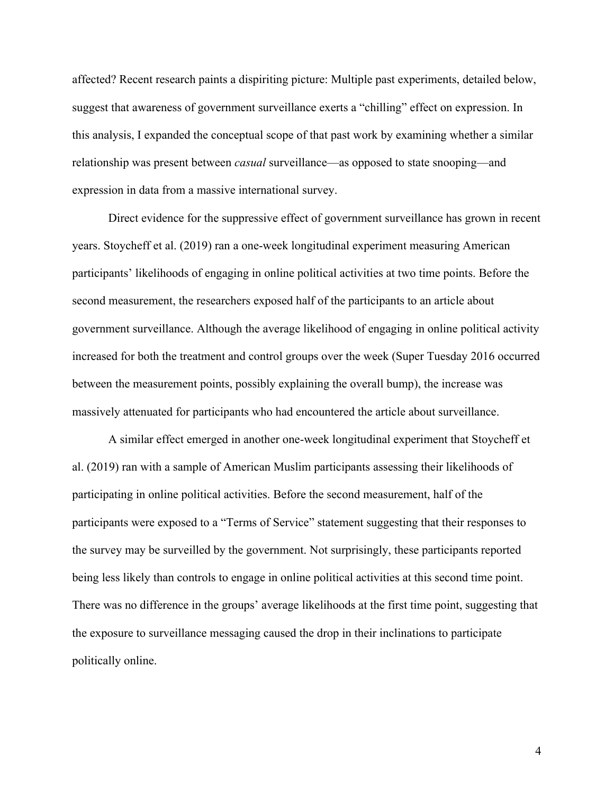affected? Recent research paints a dispiriting picture: Multiple past experiments, detailed below, suggest that awareness of government surveillance exerts a "chilling" effect on expression. In this analysis, I expanded the conceptual scope of that past work by examining whether a similar relationship was present between *casual* surveillance—as opposed to state snooping—and expression in data from a massive international survey.

Direct evidence for the suppressive effect of government surveillance has grown in recent years. Stoycheff et al. (2019) ran a one-week longitudinal experiment measuring American participants' likelihoods of engaging in online political activities at two time points. Before the second measurement, the researchers exposed half of the participants to an article about government surveillance. Although the average likelihood of engaging in online political activity increased for both the treatment and control groups over the week (Super Tuesday 2016 occurred between the measurement points, possibly explaining the overall bump), the increase was massively attenuated for participants who had encountered the article about surveillance.

A similar effect emerged in another one-week longitudinal experiment that Stoycheff et al. (2019) ran with a sample of American Muslim participants assessing their likelihoods of participating in online political activities. Before the second measurement, half of the participants were exposed to a "Terms of Service" statement suggesting that their responses to the survey may be surveilled by the government. Not surprisingly, these participants reported being less likely than controls to engage in online political activities at this second time point. There was no difference in the groups' average likelihoods at the first time point, suggesting that the exposure to surveillance messaging caused the drop in their inclinations to participate politically online.

4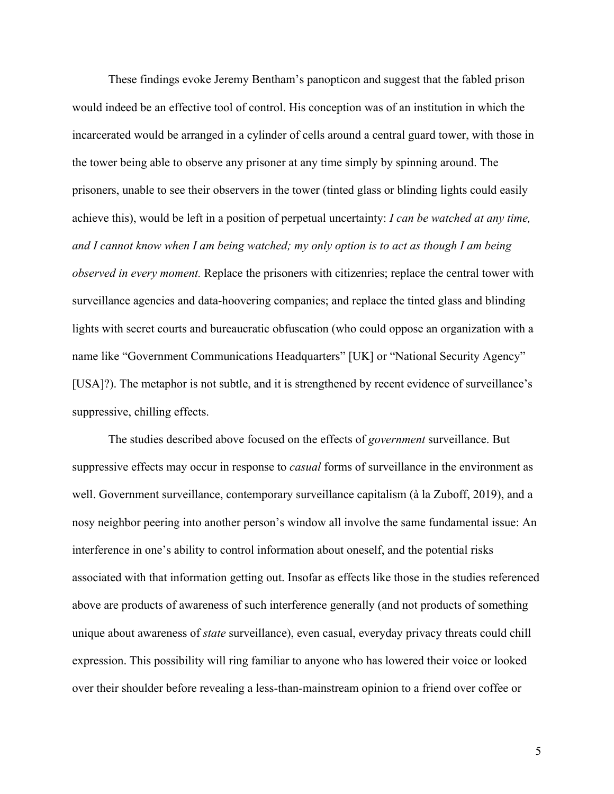These findings evoke Jeremy Bentham's panopticon and suggest that the fabled prison would indeed be an effective tool of control. His conception was of an institution in which the incarcerated would be arranged in a cylinder of cells around a central guard tower, with those in the tower being able to observe any prisoner at any time simply by spinning around. The prisoners, unable to see their observers in the tower (tinted glass or blinding lights could easily achieve this), would be left in a position of perpetual uncertainty: *I can be watched at any time, and I cannot know when I am being watched; my only option is to act as though I am being observed in every moment.* Replace the prisoners with citizenries; replace the central tower with surveillance agencies and data-hoovering companies; and replace the tinted glass and blinding lights with secret courts and bureaucratic obfuscation (who could oppose an organization with a name like "Government Communications Headquarters" [UK] or "National Security Agency" [USA]?). The metaphor is not subtle, and it is strengthened by recent evidence of surveillance's suppressive, chilling effects.

The studies described above focused on the effects of *government* surveillance. But suppressive effects may occur in response to *casual* forms of surveillance in the environment as well. Government surveillance, contemporary surveillance capitalism (à la Zuboff, 2019), and a nosy neighbor peering into another person's window all involve the same fundamental issue: An interference in one's ability to control information about oneself, and the potential risks associated with that information getting out. Insofar as effects like those in the studies referenced above are products of awareness of such interference generally (and not products of something unique about awareness of *state* surveillance), even casual, everyday privacy threats could chill expression. This possibility will ring familiar to anyone who has lowered their voice or looked over their shoulder before revealing a less-than-mainstream opinion to a friend over coffee or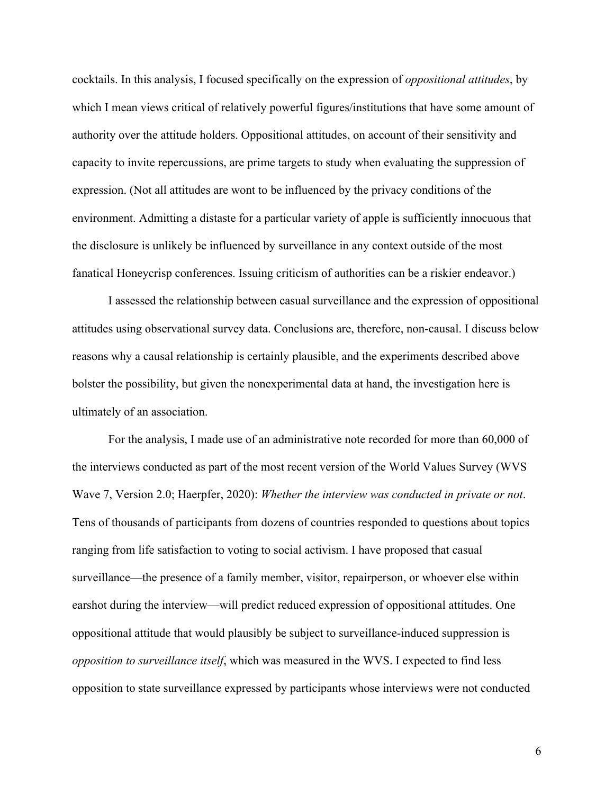cocktails. In this analysis, I focused specifically on the expression of *oppositional attitudes*, by which I mean views critical of relatively powerful figures/institutions that have some amount of authority over the attitude holders. Oppositional attitudes, on account of their sensitivity and capacity to invite repercussions, are prime targets to study when evaluating the suppression of expression. (Not all attitudes are wont to be influenced by the privacy conditions of the environment. Admitting a distaste for a particular variety of apple is sufficiently innocuous that the disclosure is unlikely be influenced by surveillance in any context outside of the most fanatical Honeycrisp conferences. Issuing criticism of authorities can be a riskier endeavor.)

I assessed the relationship between casual surveillance and the expression of oppositional attitudes using observational survey data. Conclusions are, therefore, non-causal. I discuss below reasons why a causal relationship is certainly plausible, and the experiments described above bolster the possibility, but given the nonexperimental data at hand, the investigation here is ultimately of an association.

For the analysis, I made use of an administrative note recorded for more than 60,000 of the interviews conducted as part of the most recent version of the World Values Survey (WVS Wave 7, Version 2.0; Haerpfer, 2020): *Whether the interview was conducted in private or not*. Tens of thousands of participants from dozens of countries responded to questions about topics ranging from life satisfaction to voting to social activism. I have proposed that casual surveillance—the presence of a family member, visitor, repairperson, or whoever else within earshot during the interview—will predict reduced expression of oppositional attitudes. One oppositional attitude that would plausibly be subject to surveillance-induced suppression is *opposition to surveillance itself*, which was measured in the WVS. I expected to find less opposition to state surveillance expressed by participants whose interviews were not conducted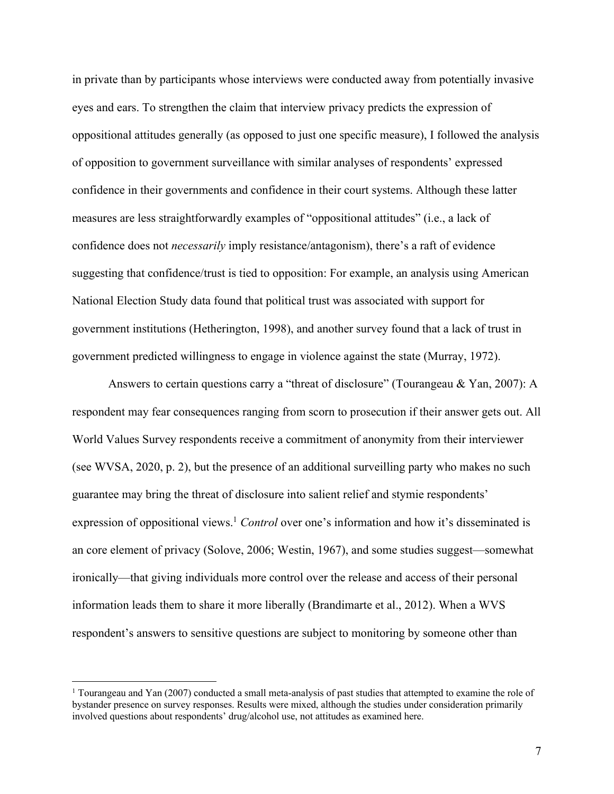in private than by participants whose interviews were conducted away from potentially invasive eyes and ears. To strengthen the claim that interview privacy predicts the expression of oppositional attitudes generally (as opposed to just one specific measure), I followed the analysis of opposition to government surveillance with similar analyses of respondents' expressed confidence in their governments and confidence in their court systems. Although these latter measures are less straightforwardly examples of "oppositional attitudes" (i.e., a lack of confidence does not *necessarily* imply resistance/antagonism), there's a raft of evidence suggesting that confidence/trust is tied to opposition: For example, an analysis using American National Election Study data found that political trust was associated with support for government institutions (Hetherington, 1998), and another survey found that a lack of trust in government predicted willingness to engage in violence against the state (Murray, 1972).

Answers to certain questions carry a "threat of disclosure" (Tourangeau & Yan, 2007): A respondent may fear consequences ranging from scorn to prosecution if their answer gets out. All World Values Survey respondents receive a commitment of anonymity from their interviewer (see WVSA, 2020, p. 2), but the presence of an additional surveilling party who makes no such guarantee may bring the threat of disclosure into salient relief and stymie respondents' expression of oppositional views. <sup>1</sup> *Control* over one's information and how it's disseminated is an core element of privacy (Solove, 2006; Westin, 1967), and some studies suggest—somewhat ironically—that giving individuals more control over the release and access of their personal information leads them to share it more liberally (Brandimarte et al., 2012). When a WVS respondent's answers to sensitive questions are subject to monitoring by someone other than

<sup>&</sup>lt;sup>1</sup> Tourangeau and Yan (2007) conducted a small meta-analysis of past studies that attempted to examine the role of bystander presence on survey responses. Results were mixed, although the studies under consideration primarily involved questions about respondents' drug/alcohol use, not attitudes as examined here.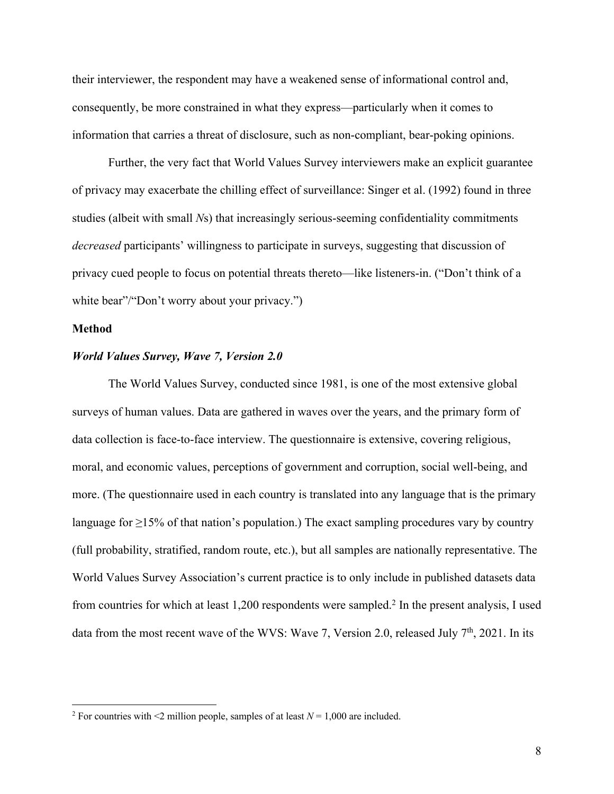their interviewer, the respondent may have a weakened sense of informational control and, consequently, be more constrained in what they express—particularly when it comes to information that carries a threat of disclosure, such as non-compliant, bear-poking opinions.

Further, the very fact that World Values Survey interviewers make an explicit guarantee of privacy may exacerbate the chilling effect of surveillance: Singer et al. (1992) found in three studies (albeit with small *N*s) that increasingly serious-seeming confidentiality commitments *decreased* participants' willingness to participate in surveys, suggesting that discussion of privacy cued people to focus on potential threats thereto—like listeners-in. ("Don't think of a white bear"/"Don't worry about your privacy.")

## **Method**

#### *World Values Survey, Wave 7, Version 2.0*

The World Values Survey, conducted since 1981, is one of the most extensive global surveys of human values. Data are gathered in waves over the years, and the primary form of data collection is face-to-face interview. The questionnaire is extensive, covering religious, moral, and economic values, perceptions of government and corruption, social well-being, and more. (The questionnaire used in each country is translated into any language that is the primary language for  $\geq$ 15% of that nation's population.) The exact sampling procedures vary by country (full probability, stratified, random route, etc.), but all samples are nationally representative. The World Values Survey Association's current practice is to only include in published datasets data from countries for which at least 1,200 respondents were sampled. <sup>2</sup> In the present analysis, I used data from the most recent wave of the WVS: Wave 7, Version 2.0, released July  $7<sup>th</sup>$ , 2021. In its

<sup>&</sup>lt;sup>2</sup> For countries with  $\leq$ 2 million people, samples of at least  $N = 1,000$  are included.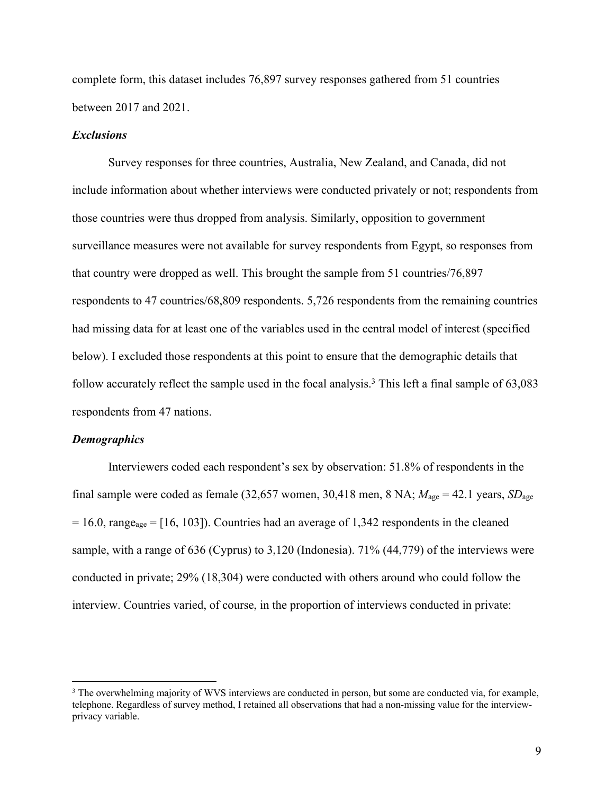complete form, this dataset includes 76,897 survey responses gathered from 51 countries between 2017 and 2021.

### *Exclusions*

Survey responses for three countries, Australia, New Zealand, and Canada, did not include information about whether interviews were conducted privately or not; respondents from those countries were thus dropped from analysis. Similarly, opposition to government surveillance measures were not available for survey respondents from Egypt, so responses from that country were dropped as well. This brought the sample from 51 countries/76,897 respondents to 47 countries/68,809 respondents. 5,726 respondents from the remaining countries had missing data for at least one of the variables used in the central model of interest (specified below). I excluded those respondents at this point to ensure that the demographic details that follow accurately reflect the sample used in the focal analysis.<sup>3</sup> This left a final sample of 63,083 respondents from 47 nations.

#### *Demographics*

Interviewers coded each respondent's sex by observation: 51.8% of respondents in the final sample were coded as female (32,657 women, 30,418 men, 8 NA;  $M_{\text{age}} = 42.1$  years,  $SD_{\text{age}}$  $= 16.0$ , range<sub>age</sub>  $= [16, 103]$ ). Countries had an average of 1,342 respondents in the cleaned sample, with a range of 636 (Cyprus) to 3,120 (Indonesia). 71% (44,779) of the interviews were conducted in private; 29% (18,304) were conducted with others around who could follow the interview. Countries varied, of course, in the proportion of interviews conducted in private:

<sup>&</sup>lt;sup>3</sup> The overwhelming majority of WVS interviews are conducted in person, but some are conducted via, for example, telephone. Regardless of survey method, I retained all observations that had a non-missing value for the interviewprivacy variable.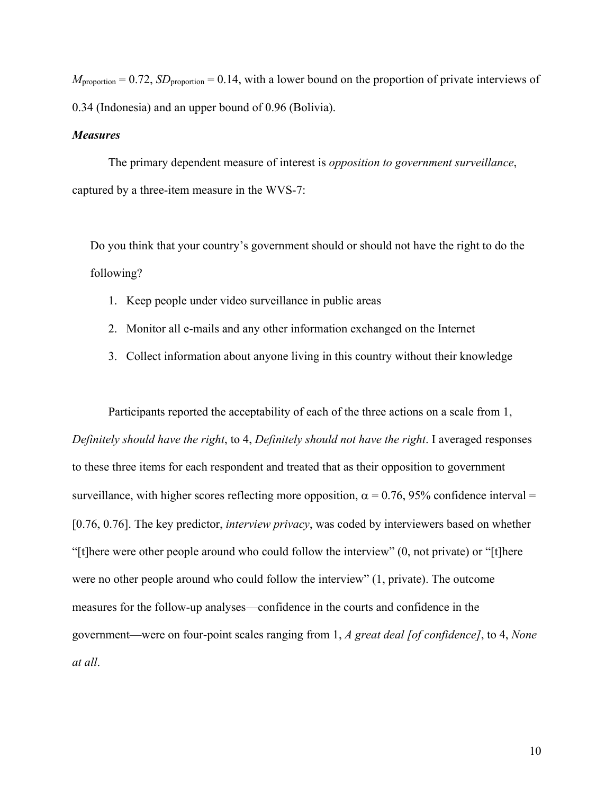$M_{\text{proportion}} = 0.72$ ,  $SD_{\text{proportion}} = 0.14$ , with a lower bound on the proportion of private interviews of 0.34 (Indonesia) and an upper bound of 0.96 (Bolivia).

### *Measures*

The primary dependent measure of interest is *opposition to government surveillance*, captured by a three-item measure in the WVS-7:

Do you think that your country's government should or should not have the right to do the following?

- 1. Keep people under video surveillance in public areas
- 2. Monitor all e-mails and any other information exchanged on the Internet
- 3. Collect information about anyone living in this country without their knowledge

Participants reported the acceptability of each of the three actions on a scale from 1, *Definitely should have the right*, to 4, *Definitely should not have the right*. I averaged responses to these three items for each respondent and treated that as their opposition to government surveillance, with higher scores reflecting more opposition,  $\alpha = 0.76$ , 95% confidence interval = [0.76, 0.76]. The key predictor, *interview privacy*, was coded by interviewers based on whether "[t]here were other people around who could follow the interview" (0, not private) or "[t]here were no other people around who could follow the interview" (1, private). The outcome measures for the follow-up analyses—confidence in the courts and confidence in the government—were on four-point scales ranging from 1, *A great deal [of confidence]*, to 4, *None at all*.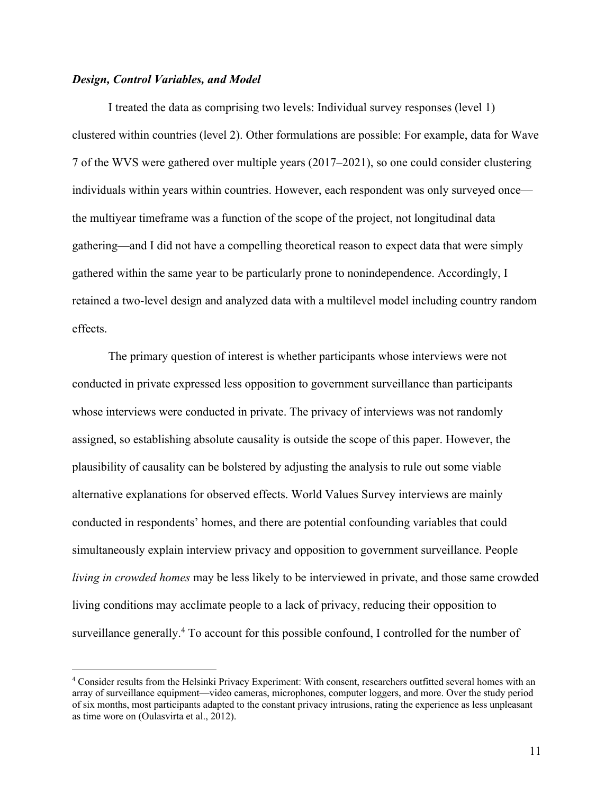## *Design, Control Variables, and Model*

I treated the data as comprising two levels: Individual survey responses (level 1) clustered within countries (level 2). Other formulations are possible: For example, data for Wave 7 of the WVS were gathered over multiple years (2017–2021), so one could consider clustering individuals within years within countries. However, each respondent was only surveyed once the multiyear timeframe was a function of the scope of the project, not longitudinal data gathering—and I did not have a compelling theoretical reason to expect data that were simply gathered within the same year to be particularly prone to nonindependence. Accordingly, I retained a two-level design and analyzed data with a multilevel model including country random effects.

The primary question of interest is whether participants whose interviews were not conducted in private expressed less opposition to government surveillance than participants whose interviews were conducted in private. The privacy of interviews was not randomly assigned, so establishing absolute causality is outside the scope of this paper. However, the plausibility of causality can be bolstered by adjusting the analysis to rule out some viable alternative explanations for observed effects. World Values Survey interviews are mainly conducted in respondents' homes, and there are potential confounding variables that could simultaneously explain interview privacy and opposition to government surveillance. People *living in crowded homes* may be less likely to be interviewed in private, and those same crowded living conditions may acclimate people to a lack of privacy, reducing their opposition to surveillance generally.<sup>4</sup> To account for this possible confound, I controlled for the number of

<sup>4</sup> Consider results from the Helsinki Privacy Experiment: With consent, researchers outfitted several homes with an array of surveillance equipment—video cameras, microphones, computer loggers, and more. Over the study period of six months, most participants adapted to the constant privacy intrusions, rating the experience as less unpleasant as time wore on (Oulasvirta et al., 2012).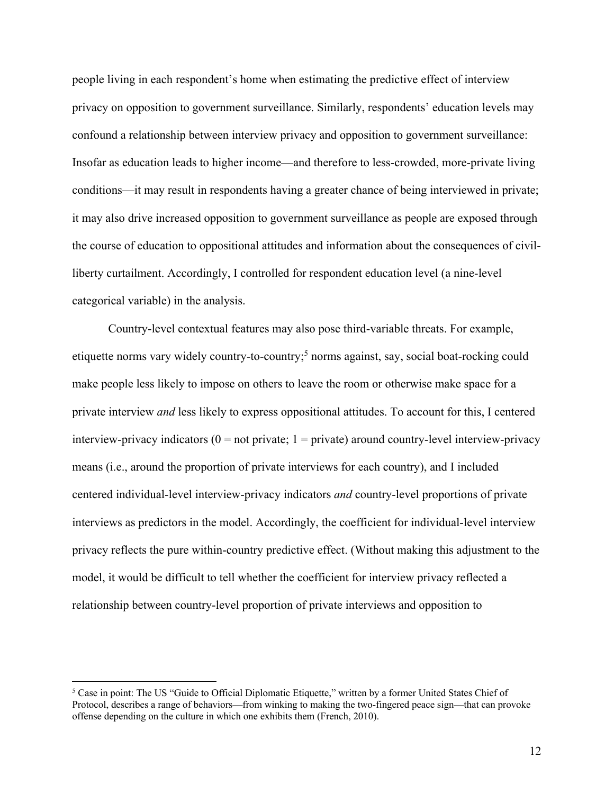people living in each respondent's home when estimating the predictive effect of interview privacy on opposition to government surveillance. Similarly, respondents' education levels may confound a relationship between interview privacy and opposition to government surveillance: Insofar as education leads to higher income—and therefore to less-crowded, more-private living conditions—it may result in respondents having a greater chance of being interviewed in private; it may also drive increased opposition to government surveillance as people are exposed through the course of education to oppositional attitudes and information about the consequences of civilliberty curtailment. Accordingly, I controlled for respondent education level (a nine-level categorical variable) in the analysis.

Country-level contextual features may also pose third-variable threats. For example, etiquette norms vary widely country-to-country; <sup>5</sup> norms against, say, social boat-rocking could make people less likely to impose on others to leave the room or otherwise make space for a private interview *and* less likely to express oppositional attitudes. To account for this, I centered interview-privacy indicators  $(0 = not private; 1 = private)$  around country-level interview-privacy means (i.e., around the proportion of private interviews for each country), and I included centered individual-level interview-privacy indicators *and* country-level proportions of private interviews as predictors in the model. Accordingly, the coefficient for individual-level interview privacy reflects the pure within-country predictive effect. (Without making this adjustment to the model, it would be difficult to tell whether the coefficient for interview privacy reflected a relationship between country-level proportion of private interviews and opposition to

<sup>5</sup> Case in point: The US "Guide to Official Diplomatic Etiquette," written by a former United States Chief of Protocol, describes a range of behaviors—from winking to making the two-fingered peace sign—that can provoke offense depending on the culture in which one exhibits them (French, 2010).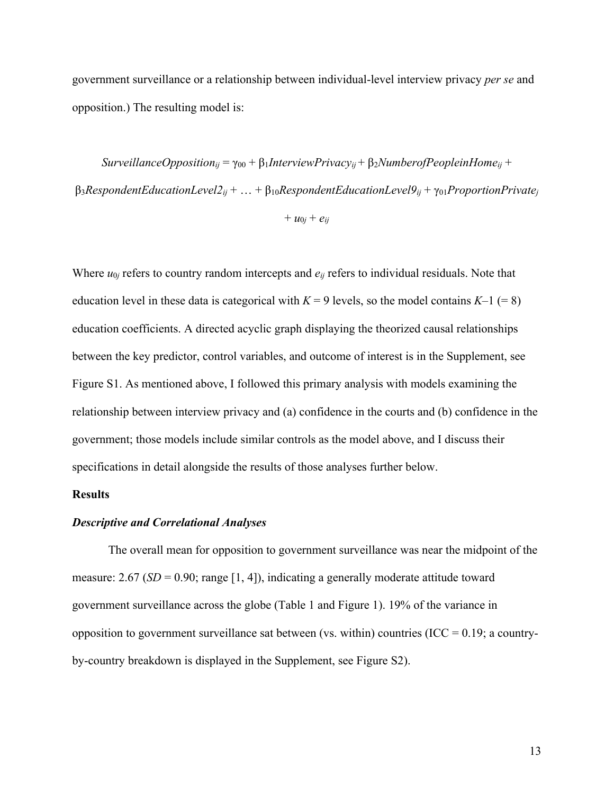government surveillance or a relationship between individual-level interview privacy *per se* and opposition.) The resulting model is:

 $SurveillanceOpposition_{ij} = \gamma_{00} + \beta_1$ *InterviewPrivacy<sub>ij</sub>* +  $\beta_2$ *NumberofPeopleinHome<sub>ij</sub>* + β3*RespondentEducationLevel2ij* + … + β10*RespondentEducationLevel9ij* + γ01*ProportionPrivatej*

```
+ u_{0j} + e_{ij}
```
Where  $u_{0j}$  refers to country random intercepts and  $e_{ij}$  refers to individual residuals. Note that education level in these data is categorical with  $K = 9$  levels, so the model contains  $K-1 (= 8)$ education coefficients. A directed acyclic graph displaying the theorized causal relationships between the key predictor, control variables, and outcome of interest is in the Supplement, see Figure S1. As mentioned above, I followed this primary analysis with models examining the relationship between interview privacy and (a) confidence in the courts and (b) confidence in the government; those models include similar controls as the model above, and I discuss their specifications in detail alongside the results of those analyses further below.

### **Results**

## *Descriptive and Correlational Analyses*

The overall mean for opposition to government surveillance was near the midpoint of the measure:  $2.67$  (*SD* = 0.90; range [1, 4]), indicating a generally moderate attitude toward government surveillance across the globe (Table 1 and Figure 1). 19% of the variance in opposition to government surveillance sat between (vs. within) countries (ICC =  $0.19$ ; a countryby-country breakdown is displayed in the Supplement, see Figure S2).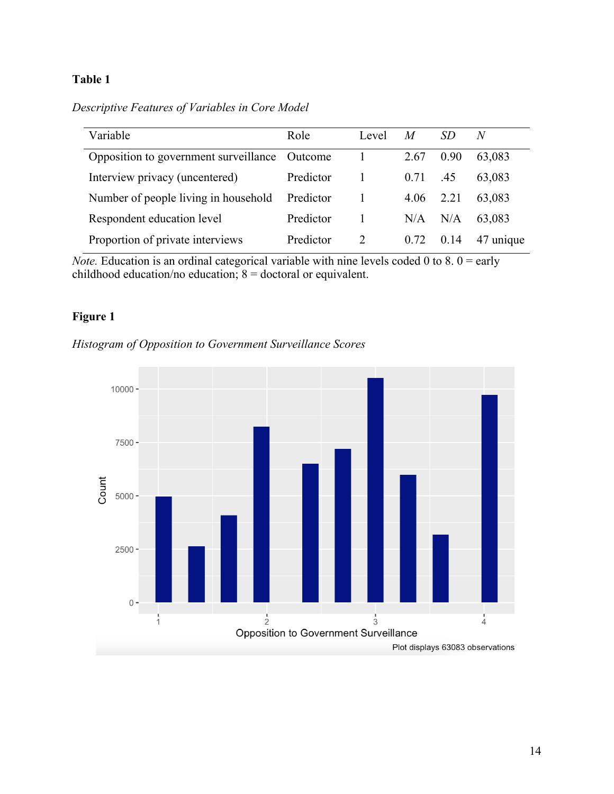*Descriptive Features of Variables in Core Model*

| Variable                                      | Role      | Level | $\boldsymbol{M}$ |      | N         |
|-----------------------------------------------|-----------|-------|------------------|------|-----------|
| Opposition to government surveillance Outcome |           |       | 2.67             | 0.90 | 63,083    |
| Interview privacy (uncentered)                | Predictor |       | 0.71             | .45  | 63.083    |
| Number of people living in household          | Predictor |       | 4.06             | 2.21 | 63,083    |
| Respondent education level                    | Predictor |       | N/A              | N/A  | 63.083    |
| Proportion of private interviews              | Predictor |       | 0.72             | 0.14 | 47 unique |

*Note.* Education is an ordinal categorical variable with nine levels coded 0 to 8.  $0 =$  early childhood education/no education;  $8 =$  doctoral or equivalent.

## **Figure 1**



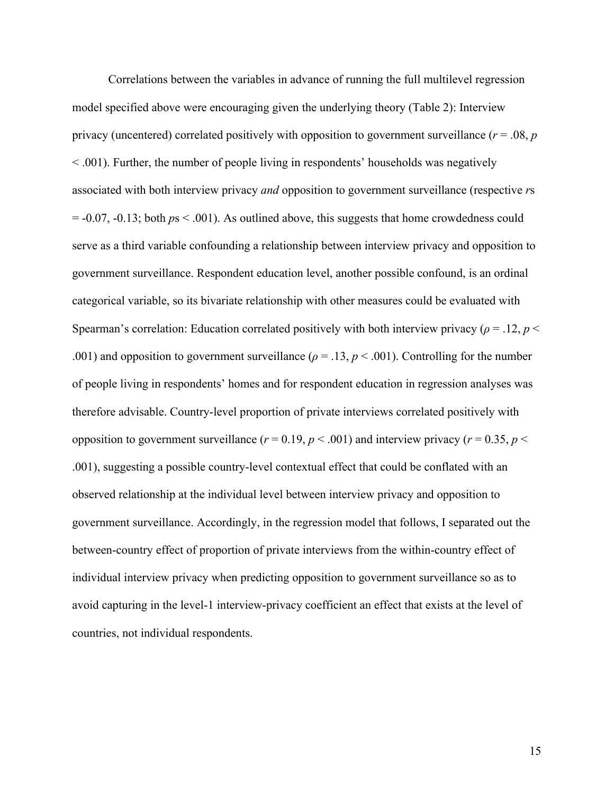Correlations between the variables in advance of running the full multilevel regression model specified above were encouraging given the underlying theory (Table 2): Interview privacy (uncentered) correlated positively with opposition to government surveillance (*r* = .08, *p* < .001). Further, the number of people living in respondents' households was negatively associated with both interview privacy *and* opposition to government surveillance (respective *r*s = -0.07, -0.13; both *p*s < .001). As outlined above, this suggests that home crowdedness could serve as a third variable confounding a relationship between interview privacy and opposition to government surveillance. Respondent education level, another possible confound, is an ordinal categorical variable, so its bivariate relationship with other measures could be evaluated with Spearman's correlation: Education correlated positively with both interview privacy ( $\rho = 0.12$ ,  $p <$ .001) and opposition to government surveillance ( $\rho = .13$ ,  $p < .001$ ). Controlling for the number of people living in respondents' homes and for respondent education in regression analyses was therefore advisable. Country-level proportion of private interviews correlated positively with opposition to government surveillance ( $r = 0.19$ ,  $p < .001$ ) and interview privacy ( $r = 0.35$ ,  $p <$ .001), suggesting a possible country-level contextual effect that could be conflated with an observed relationship at the individual level between interview privacy and opposition to government surveillance. Accordingly, in the regression model that follows, I separated out the between-country effect of proportion of private interviews from the within-country effect of individual interview privacy when predicting opposition to government surveillance so as to avoid capturing in the level-1 interview-privacy coefficient an effect that exists at the level of countries, not individual respondents.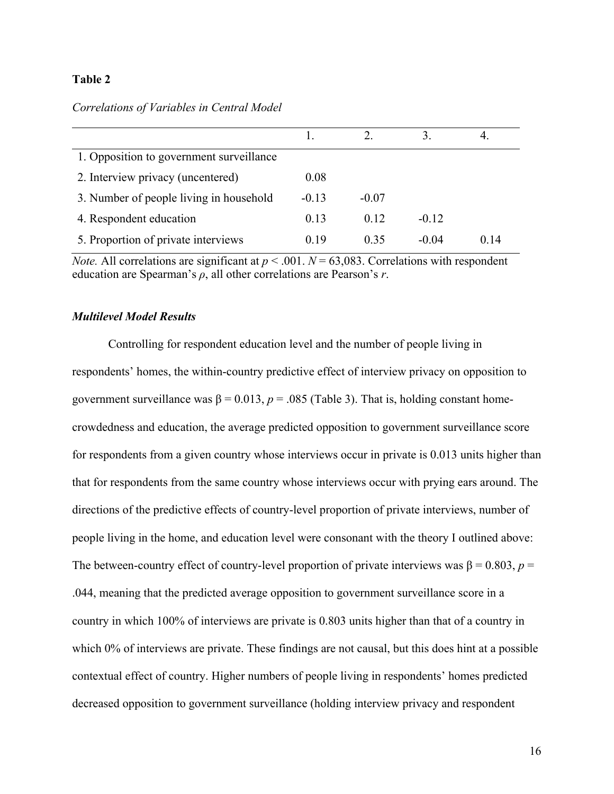## *Correlations of Variables in Central Model*

| 1. Opposition to government surveillance |         |         |         |       |
|------------------------------------------|---------|---------|---------|-------|
| 2. Interview privacy (uncentered)        | 0.08    |         |         |       |
| 3. Number of people living in household  | $-0.13$ | $-0.07$ |         |       |
| 4. Respondent education                  | 0.13    | 0.12    | $-0.12$ |       |
| 5. Proportion of private interviews      | 0.19    | 0.35    | $-0.04$ | () 14 |

*Note.* All correlations are significant at  $p < .001$ .  $N = 63,083$ . Correlations with respondent education are Spearman's *ρ*, all other correlations are Pearson's *r*.

## *Multilevel Model Results*

Controlling for respondent education level and the number of people living in respondents' homes, the within-country predictive effect of interview privacy on opposition to government surveillance was  $β = 0.013$ ,  $p = .085$  (Table 3). That is, holding constant homecrowdedness and education, the average predicted opposition to government surveillance score for respondents from a given country whose interviews occur in private is 0.013 units higher than that for respondents from the same country whose interviews occur with prying ears around. The directions of the predictive effects of country-level proportion of private interviews, number of people living in the home, and education level were consonant with the theory I outlined above: The between-country effect of country-level proportion of private interviews was  $\beta = 0.803$ ,  $p =$ .044, meaning that the predicted average opposition to government surveillance score in a country in which 100% of interviews are private is 0.803 units higher than that of a country in which 0% of interviews are private. These findings are not causal, but this does hint at a possible contextual effect of country. Higher numbers of people living in respondents' homes predicted decreased opposition to government surveillance (holding interview privacy and respondent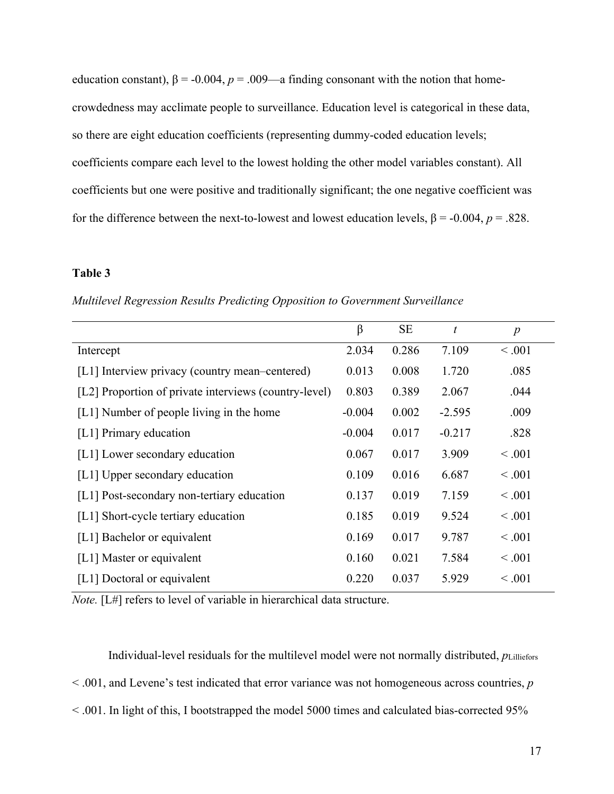education constant),  $\beta$  = -0.004,  $p$  = .009—a finding consonant with the notion that homecrowdedness may acclimate people to surveillance. Education level is categorical in these data, so there are eight education coefficients (representing dummy-coded education levels; coefficients compare each level to the lowest holding the other model variables constant). All coefficients but one were positive and traditionally significant; the one negative coefficient was for the difference between the next-to-lowest and lowest education levels, β = -0.004, *p* = .828.

## **Table 3**

*Multilevel Regression Results Predicting Opposition to Government Surveillance*

|                                                       | $\beta$  | <b>SE</b> | t        | $\boldsymbol{p}$ |
|-------------------------------------------------------|----------|-----------|----------|------------------|
| Intercept                                             | 2.034    | 0.286     | 7.109    | < 0.001          |
| [L1] Interview privacy (country mean–centered)        | 0.013    | 0.008     | 1.720    | .085             |
| [L2] Proportion of private interviews (country-level) | 0.803    | 0.389     | 2.067    | .044             |
| [L1] Number of people living in the home              | $-0.004$ | 0.002     | $-2.595$ | .009             |
| [L1] Primary education                                | $-0.004$ | 0.017     | $-0.217$ | .828             |
| [L1] Lower secondary education                        | 0.067    | 0.017     | 3.909    | < 0.001          |
| [L1] Upper secondary education                        | 0.109    | 0.016     | 6.687    | < 0.001          |
| [L1] Post-secondary non-tertiary education            | 0.137    | 0.019     | 7.159    | < 0.001          |
| [L1] Short-cycle tertiary education                   | 0.185    | 0.019     | 9.524    | < 0.001          |
| [L1] Bachelor or equivalent                           | 0.169    | 0.017     | 9.787    | < 0.001          |
| [L1] Master or equivalent                             | 0.160    | 0.021     | 7.584    | < 0.001          |
| [L1] Doctoral or equivalent                           | 0.220    | 0.037     | 5.929    | < 0.001          |

*Note.* [L#] refers to level of variable in hierarchical data structure.

Individual-level residuals for the multilevel model were not normally distributed, *p*Lilliefors < .001, and Levene's test indicated that error variance was not homogeneous across countries, *p* < .001. In light of this, I bootstrapped the model 5000 times and calculated bias-corrected 95%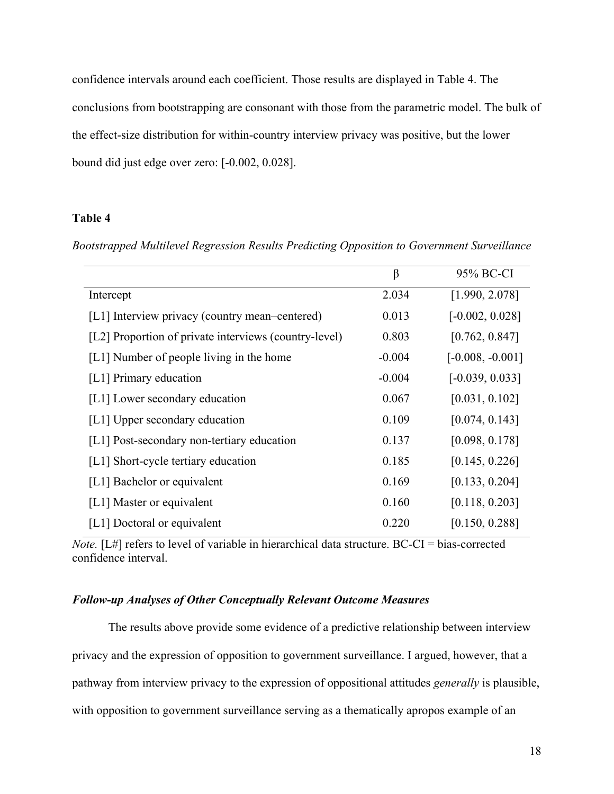confidence intervals around each coefficient. Those results are displayed in Table 4. The conclusions from bootstrapping are consonant with those from the parametric model. The bulk of the effect-size distribution for within-country interview privacy was positive, but the lower bound did just edge over zero: [-0.002, 0.028].

## **Table 4**

*Bootstrapped Multilevel Regression Results Predicting Opposition to Government Surveillance*

|                                                       | $\beta$  | 95% BC-CI          |
|-------------------------------------------------------|----------|--------------------|
| Intercept                                             | 2.034    | [1.990, 2.078]     |
| [L1] Interview privacy (country mean-centered)        | 0.013    | $[-0.002, 0.028]$  |
| [L2] Proportion of private interviews (country-level) | 0.803    | [0.762, 0.847]     |
| [L1] Number of people living in the home              | $-0.004$ | $[-0.008, -0.001]$ |
| [L1] Primary education                                | $-0.004$ | $[-0.039, 0.033]$  |
| [L1] Lower secondary education                        | 0.067    | [0.031, 0.102]     |
| [L1] Upper secondary education                        | 0.109    | [0.074, 0.143]     |
| [L1] Post-secondary non-tertiary education            | 0.137    | [0.098, 0.178]     |
| [L1] Short-cycle tertiary education                   | 0.185    | [0.145, 0.226]     |
| [L1] Bachelor or equivalent                           | 0.169    | [0.133, 0.204]     |
| [L1] Master or equivalent                             | 0.160    | [0.118, 0.203]     |
| [L1] Doctoral or equivalent                           | 0.220    | [0.150, 0.288]     |

*Note.* [L#] refers to level of variable in hierarchical data structure. BC-CI = bias-corrected confidence interval.

## *Follow-up Analyses of Other Conceptually Relevant Outcome Measures*

The results above provide some evidence of a predictive relationship between interview privacy and the expression of opposition to government surveillance. I argued, however, that a pathway from interview privacy to the expression of oppositional attitudes *generally* is plausible, with opposition to government surveillance serving as a thematically apropos example of an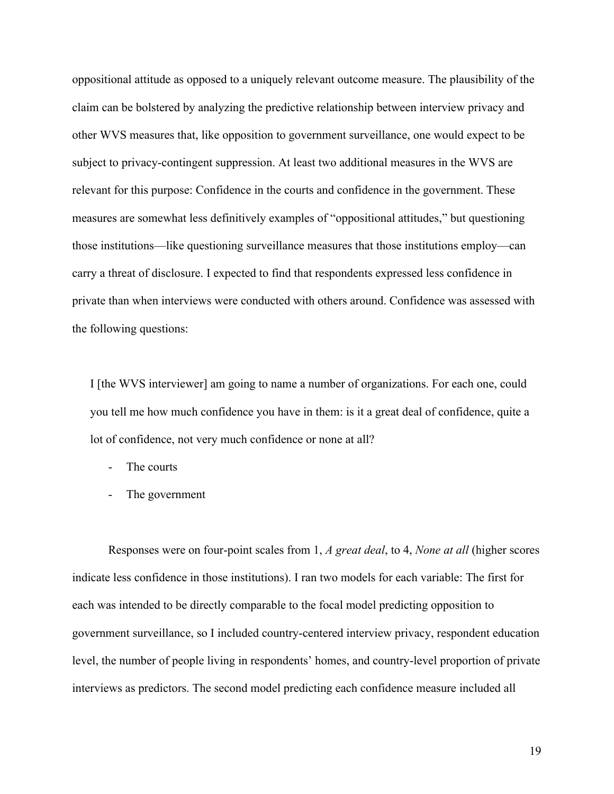oppositional attitude as opposed to a uniquely relevant outcome measure. The plausibility of the claim can be bolstered by analyzing the predictive relationship between interview privacy and other WVS measures that, like opposition to government surveillance, one would expect to be subject to privacy-contingent suppression. At least two additional measures in the WVS are relevant for this purpose: Confidence in the courts and confidence in the government. These measures are somewhat less definitively examples of "oppositional attitudes," but questioning those institutions—like questioning surveillance measures that those institutions employ—can carry a threat of disclosure. I expected to find that respondents expressed less confidence in private than when interviews were conducted with others around. Confidence was assessed with the following questions:

I [the WVS interviewer] am going to name a number of organizations. For each one, could you tell me how much confidence you have in them: is it a great deal of confidence, quite a lot of confidence, not very much confidence or none at all?

- The courts
- The government

Responses were on four-point scales from 1, *A great deal*, to 4, *None at all* (higher scores indicate less confidence in those institutions). I ran two models for each variable: The first for each was intended to be directly comparable to the focal model predicting opposition to government surveillance, so I included country-centered interview privacy, respondent education level, the number of people living in respondents' homes, and country-level proportion of private interviews as predictors. The second model predicting each confidence measure included all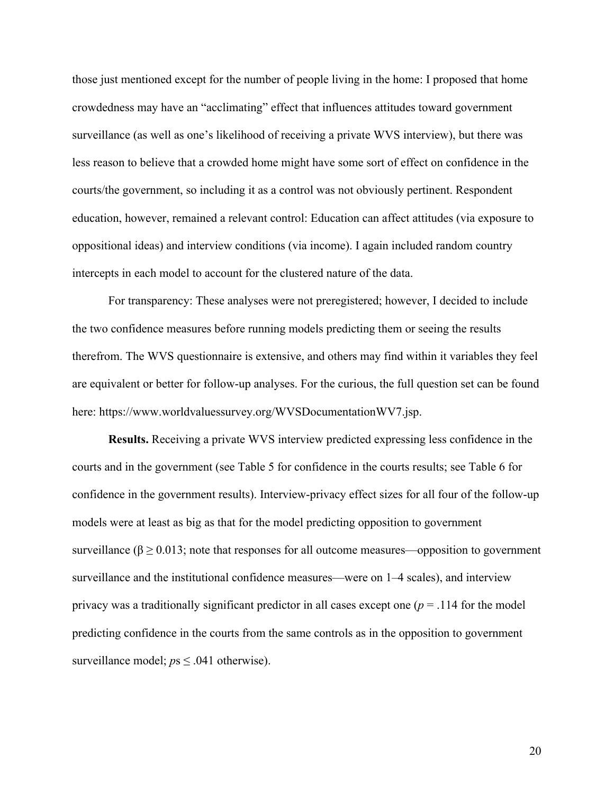those just mentioned except for the number of people living in the home: I proposed that home crowdedness may have an "acclimating" effect that influences attitudes toward government surveillance (as well as one's likelihood of receiving a private WVS interview), but there was less reason to believe that a crowded home might have some sort of effect on confidence in the courts/the government, so including it as a control was not obviously pertinent. Respondent education, however, remained a relevant control: Education can affect attitudes (via exposure to oppositional ideas) and interview conditions (via income). I again included random country intercepts in each model to account for the clustered nature of the data.

For transparency: These analyses were not preregistered; however, I decided to include the two confidence measures before running models predicting them or seeing the results therefrom. The WVS questionnaire is extensive, and others may find within it variables they feel are equivalent or better for follow-up analyses. For the curious, the full question set can be found here: https://www.worldvaluessurvey.org/WVSDocumentationWV7.jsp.

**Results.** Receiving a private WVS interview predicted expressing less confidence in the courts and in the government (see Table 5 for confidence in the courts results; see Table 6 for confidence in the government results). Interview-privacy effect sizes for all four of the follow-up models were at least as big as that for the model predicting opposition to government surveillance ( $\beta \ge 0.013$ ; note that responses for all outcome measures—opposition to government surveillance and the institutional confidence measures—were on 1–4 scales), and interview privacy was a traditionally significant predictor in all cases except one (*p* = .114 for the model predicting confidence in the courts from the same controls as in the opposition to government surveillance model;  $ps \leq .041$  otherwise).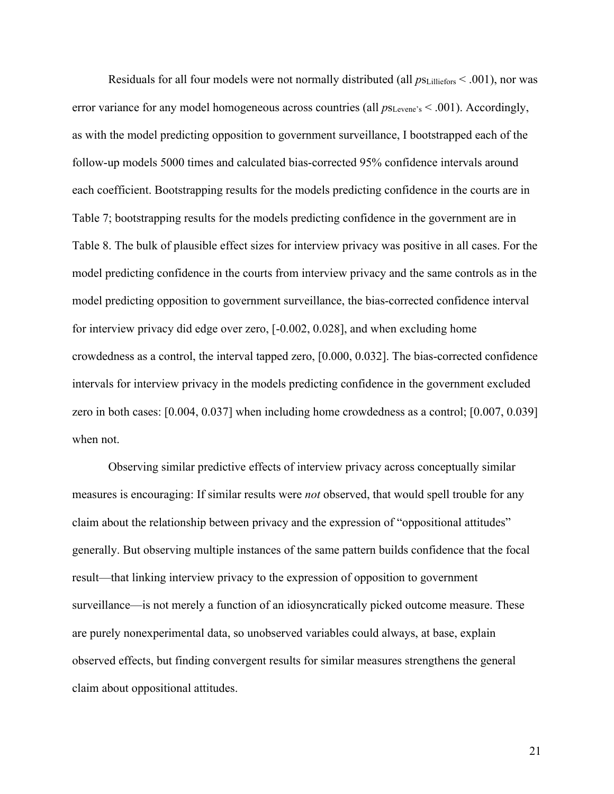Residuals for all four models were not normally distributed (all  $p_{\text{SLilliefors}}$  < .001), nor was error variance for any model homogeneous across countries (all  $p_{S\text{Levene's}} < .001$ ). Accordingly, as with the model predicting opposition to government surveillance, I bootstrapped each of the follow-up models 5000 times and calculated bias-corrected 95% confidence intervals around each coefficient. Bootstrapping results for the models predicting confidence in the courts are in Table 7; bootstrapping results for the models predicting confidence in the government are in Table 8. The bulk of plausible effect sizes for interview privacy was positive in all cases. For the model predicting confidence in the courts from interview privacy and the same controls as in the model predicting opposition to government surveillance, the bias-corrected confidence interval for interview privacy did edge over zero, [-0.002, 0.028], and when excluding home crowdedness as a control, the interval tapped zero, [0.000, 0.032]. The bias-corrected confidence intervals for interview privacy in the models predicting confidence in the government excluded zero in both cases: [0.004, 0.037] when including home crowdedness as a control; [0.007, 0.039] when not.

Observing similar predictive effects of interview privacy across conceptually similar measures is encouraging: If similar results were *not* observed, that would spell trouble for any claim about the relationship between privacy and the expression of "oppositional attitudes" generally. But observing multiple instances of the same pattern builds confidence that the focal result—that linking interview privacy to the expression of opposition to government surveillance—is not merely a function of an idiosyncratically picked outcome measure. These are purely nonexperimental data, so unobserved variables could always, at base, explain observed effects, but finding convergent results for similar measures strengthens the general claim about oppositional attitudes.

21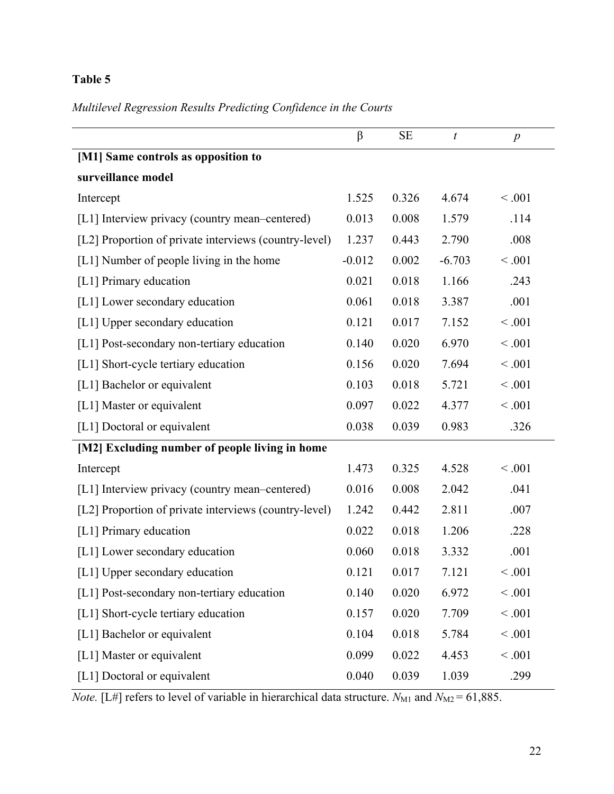# *Multilevel Regression Results Predicting Confidence in the Courts*

|                                                       | $\beta$  | <b>SE</b> | $\boldsymbol{t}$ | $\boldsymbol{p}$ |
|-------------------------------------------------------|----------|-----------|------------------|------------------|
| [M1] Same controls as opposition to                   |          |           |                  |                  |
| surveillance model                                    |          |           |                  |                  |
| Intercept                                             | 1.525    | 0.326     | 4.674            | < .001           |
| [L1] Interview privacy (country mean–centered)        | 0.013    | 0.008     | 1.579            | .114             |
| [L2] Proportion of private interviews (country-level) | 1.237    | 0.443     | 2.790            | .008             |
| [L1] Number of people living in the home              | $-0.012$ | 0.002     | $-6.703$         | < .001           |
| [L1] Primary education                                | 0.021    | 0.018     | 1.166            | .243             |
| [L1] Lower secondary education                        | 0.061    | 0.018     | 3.387            | .001             |
| [L1] Upper secondary education                        | 0.121    | 0.017     | 7.152            | < .001           |
| [L1] Post-secondary non-tertiary education            | 0.140    | 0.020     | 6.970            | < .001           |
| [L1] Short-cycle tertiary education                   | 0.156    | 0.020     | 7.694            | < .001           |
| [L1] Bachelor or equivalent                           | 0.103    | 0.018     | 5.721            | < .001           |
| [L1] Master or equivalent                             | 0.097    | 0.022     | 4.377            | < .001           |
| [L1] Doctoral or equivalent                           | 0.038    | 0.039     | 0.983            | .326             |
| [M2] Excluding number of people living in home        |          |           |                  |                  |
| Intercept                                             | 1.473    | 0.325     | 4.528            | < .001           |
| [L1] Interview privacy (country mean-centered)        | 0.016    | 0.008     | 2.042            | .041             |
| [L2] Proportion of private interviews (country-level) | 1.242    | 0.442     | 2.811            | .007             |
| [L1] Primary education                                | 0.022    | 0.018     | 1.206            | .228             |
| [L1] Lower secondary education                        | 0.060    | 0.018     | 3.332            | .001             |
| [L1] Upper secondary education                        | 0.121    | 0.017     | 7.121            | < 0.001          |
| [L1] Post-secondary non-tertiary education            | 0.140    | 0.020     | 6.972            | < .001           |
| [L1] Short-cycle tertiary education                   | 0.157    | 0.020     | 7.709            | < .001           |
| [L1] Bachelor or equivalent                           | 0.104    | 0.018     | 5.784            | < .001           |
| [L1] Master or equivalent                             | 0.099    | 0.022     | 4.453            | < .001           |
| [L1] Doctoral or equivalent                           | 0.040    | 0.039     | 1.039            | .299             |

*Note.* [L#] refers to level of variable in hierarchical data structure.  $N_{\text{M1}}$  and  $N_{\text{M2}} = 61,885$ .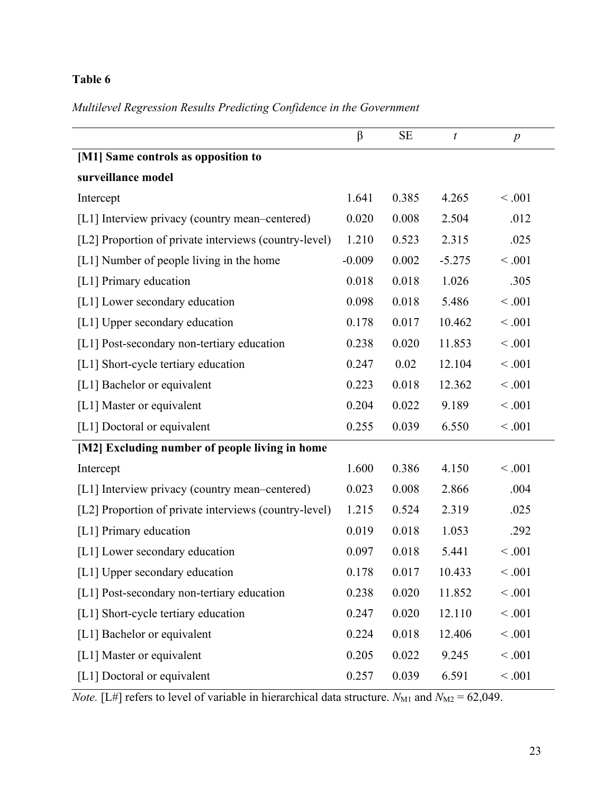# *Multilevel Regression Results Predicting Confidence in the Government*

|                                                       | $\beta$  | <b>SE</b> | $\boldsymbol{t}$ | $\boldsymbol{p}$ |  |
|-------------------------------------------------------|----------|-----------|------------------|------------------|--|
| [M1] Same controls as opposition to                   |          |           |                  |                  |  |
| surveillance model                                    |          |           |                  |                  |  |
| Intercept                                             | 1.641    | 0.385     | 4.265            | < .001           |  |
| [L1] Interview privacy (country mean–centered)        | 0.020    | 0.008     | 2.504            | .012             |  |
| [L2] Proportion of private interviews (country-level) | 1.210    | 0.523     | 2.315            | .025             |  |
| [L1] Number of people living in the home              | $-0.009$ | 0.002     | $-5.275$         | < .001           |  |
| [L1] Primary education                                | 0.018    | 0.018     | 1.026            | .305             |  |
| [L1] Lower secondary education                        | 0.098    | 0.018     | 5.486            | < .001           |  |
| [L1] Upper secondary education                        | 0.178    | 0.017     | 10.462           | < .001           |  |
| [L1] Post-secondary non-tertiary education            | 0.238    | 0.020     | 11.853           | < .001           |  |
| [L1] Short-cycle tertiary education                   | 0.247    | 0.02      | 12.104           | < .001           |  |
| [L1] Bachelor or equivalent                           | 0.223    | 0.018     | 12.362           | < .001           |  |
| [L1] Master or equivalent                             | 0.204    | 0.022     | 9.189            | < .001           |  |
| [L1] Doctoral or equivalent                           | 0.255    | 0.039     | 6.550            | < .001           |  |
| [M2] Excluding number of people living in home        |          |           |                  |                  |  |
| Intercept                                             | 1.600    | 0.386     | 4.150            | < .001           |  |
| [L1] Interview privacy (country mean–centered)        | 0.023    | 0.008     | 2.866            | .004             |  |
| [L2] Proportion of private interviews (country-level) | 1.215    | 0.524     | 2.319            | .025             |  |
| [L1] Primary education                                | 0.019    | 0.018     | 1.053            | .292             |  |
| [L1] Lower secondary education                        | 0.097    | 0.018     | 5.441            | < .001           |  |
| [L1] Upper secondary education                        | 0.178    | 0.017     | 10.433           | < 0.001          |  |
| [L1] Post-secondary non-tertiary education            | 0.238    | 0.020     | 11.852           | < .001           |  |
| [L1] Short-cycle tertiary education                   | 0.247    | 0.020     | 12.110           | < .001           |  |
| [L1] Bachelor or equivalent                           | 0.224    | 0.018     | 12.406           | < .001           |  |
| [L1] Master or equivalent                             | 0.205    | 0.022     | 9.245            | < .001           |  |
| [L1] Doctoral or equivalent                           | 0.257    | 0.039     | 6.591            | < .001           |  |

*Note.* [L#] refers to level of variable in hierarchical data structure.  $N_{\text{M1}}$  and  $N_{\text{M2}} = 62,049$ .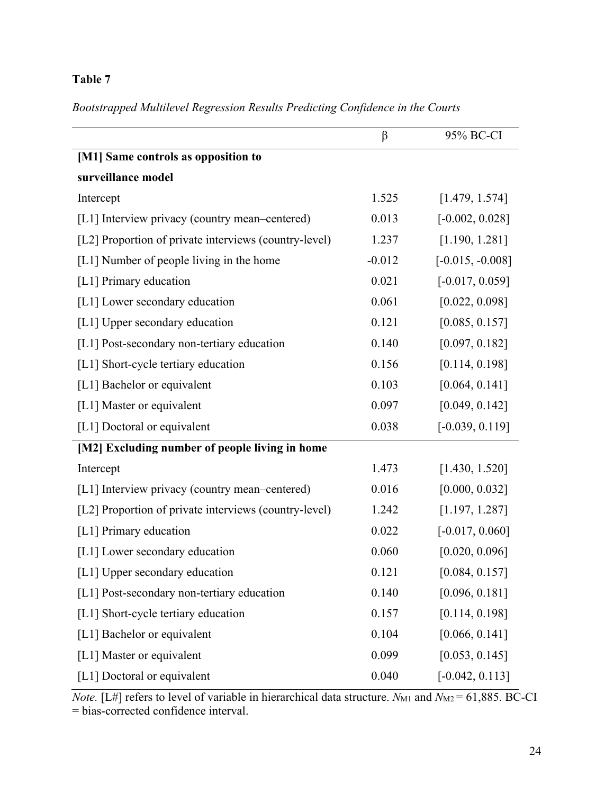*Bootstrapped Multilevel Regression Results Predicting Confidence in the Courts*

|                                                       | β        | 95% BC-CI          |
|-------------------------------------------------------|----------|--------------------|
| [M1] Same controls as opposition to                   |          |                    |
| surveillance model                                    |          |                    |
| Intercept                                             | 1.525    | [1.479, 1.574]     |
| [L1] Interview privacy (country mean–centered)        | 0.013    | $[-0.002, 0.028]$  |
| [L2] Proportion of private interviews (country-level) | 1.237    | [1.190, 1.281]     |
| [L1] Number of people living in the home              | $-0.012$ | $[-0.015, -0.008]$ |
| [L1] Primary education                                | 0.021    | $[-0.017, 0.059]$  |
| [L1] Lower secondary education                        | 0.061    | [0.022, 0.098]     |
| [L1] Upper secondary education                        | 0.121    | [0.085, 0.157]     |
| [L1] Post-secondary non-tertiary education            | 0.140    | [0.097, 0.182]     |
| [L1] Short-cycle tertiary education                   | 0.156    | [0.114, 0.198]     |
| [L1] Bachelor or equivalent                           | 0.103    | [0.064, 0.141]     |
| [L1] Master or equivalent                             | 0.097    | [0.049, 0.142]     |
| [L1] Doctoral or equivalent                           | 0.038    | $[-0.039, 0.119]$  |
| [M2] Excluding number of people living in home        |          |                    |
| Intercept                                             | 1.473    | [1.430, 1.520]     |
| [L1] Interview privacy (country mean–centered)        | 0.016    | [0.000, 0.032]     |
| [L2] Proportion of private interviews (country-level) | 1.242    | [1.197, 1.287]     |
| [L1] Primary education                                | 0.022    | $[-0.017, 0.060]$  |
| [L1] Lower secondary education                        | 0.060    | [0.020, 0.096]     |
| [L1] Upper secondary education                        | 0.121    | [0.084, 0.157]     |
| [L1] Post-secondary non-tertiary education            | 0.140    | [0.096, 0.181]     |
| [L1] Short-cycle tertiary education                   | 0.157    | [0.114, 0.198]     |
| [L1] Bachelor or equivalent                           | 0.104    | [0.066, 0.141]     |
| [L1] Master or equivalent                             | 0.099    | [0.053, 0.145]     |
| [L1] Doctoral or equivalent                           | 0.040    | $[-0.042, 0.113]$  |

*Note.* [L#] refers to level of variable in hierarchical data structure.  $N_{\text{M1}}$  and  $N_{\text{M2}} = 61,885$ . BC-CI = bias-corrected confidence interval.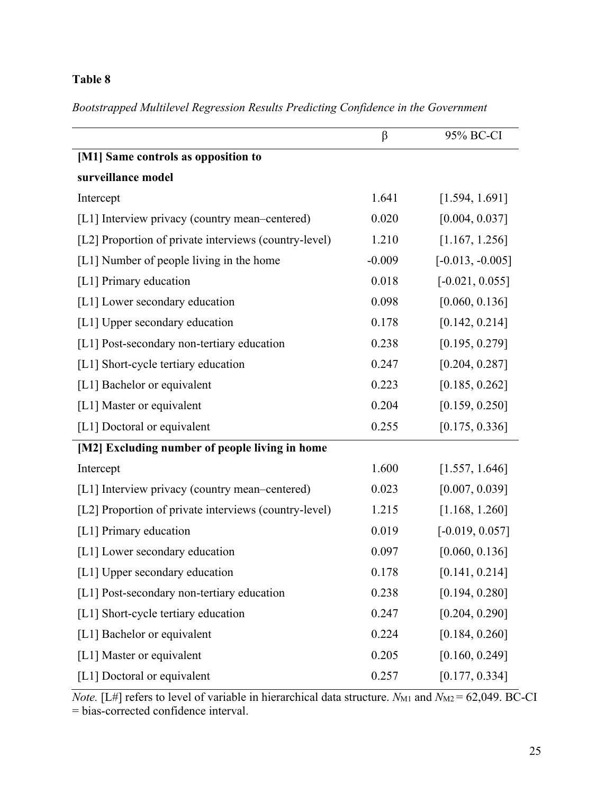*Bootstrapped Multilevel Regression Results Predicting Confidence in the Government*

|                                                       | $\beta$  | 95% BC-CI          |
|-------------------------------------------------------|----------|--------------------|
| [M1] Same controls as opposition to                   |          |                    |
| surveillance model                                    |          |                    |
| Intercept                                             | 1.641    | [1.594, 1.691]     |
| [L1] Interview privacy (country mean–centered)        | 0.020    | [0.004, 0.037]     |
| [L2] Proportion of private interviews (country-level) | 1.210    | [1.167, 1.256]     |
| [L1] Number of people living in the home              | $-0.009$ | $[-0.013, -0.005]$ |
| [L1] Primary education                                | 0.018    | $[-0.021, 0.055]$  |
| [L1] Lower secondary education                        | 0.098    | [0.060, 0.136]     |
| [L1] Upper secondary education                        | 0.178    | [0.142, 0.214]     |
| [L1] Post-secondary non-tertiary education            | 0.238    | [0.195, 0.279]     |
| [L1] Short-cycle tertiary education                   | 0.247    | [0.204, 0.287]     |
| [L1] Bachelor or equivalent                           | 0.223    | [0.185, 0.262]     |
| [L1] Master or equivalent                             | 0.204    | [0.159, 0.250]     |
| [L1] Doctoral or equivalent                           | 0.255    | [0.175, 0.336]     |
| [M2] Excluding number of people living in home        |          |                    |
| Intercept                                             | 1.600    | [1.557, 1.646]     |
| [L1] Interview privacy (country mean–centered)        | 0.023    | [0.007, 0.039]     |
| [L2] Proportion of private interviews (country-level) | 1.215    | [1.168, 1.260]     |
| [L1] Primary education                                | 0.019    | $[-0.019, 0.057]$  |
| [L1] Lower secondary education                        | 0.097    | [0.060, 0.136]     |
| [L1] Upper secondary education                        | 0.178    | [0.141, 0.214]     |
| [L1] Post-secondary non-tertiary education            | 0.238    | [0.194, 0.280]     |
| [L1] Short-cycle tertiary education                   | 0.247    | [0.204, 0.290]     |
| [L1] Bachelor or equivalent                           | 0.224    | [0.184, 0.260]     |
| [L1] Master or equivalent                             | 0.205    | [0.160, 0.249]     |
| [L1] Doctoral or equivalent                           | 0.257    | [0.177, 0.334]     |

*Note.* [L#] refers to level of variable in hierarchical data structure.  $N_{\text{M1}}$  and  $N_{\text{M2}} = 62,049$ . BC-CI = bias-corrected confidence interval.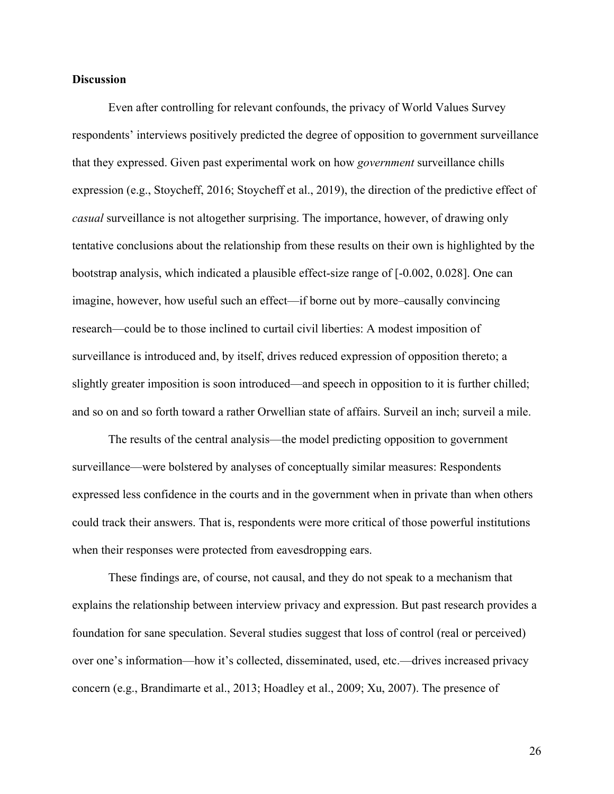## **Discussion**

Even after controlling for relevant confounds, the privacy of World Values Survey respondents' interviews positively predicted the degree of opposition to government surveillance that they expressed. Given past experimental work on how *government* surveillance chills expression (e.g., Stoycheff, 2016; Stoycheff et al., 2019), the direction of the predictive effect of *casual* surveillance is not altogether surprising. The importance, however, of drawing only tentative conclusions about the relationship from these results on their own is highlighted by the bootstrap analysis, which indicated a plausible effect-size range of [-0.002, 0.028]. One can imagine, however, how useful such an effect—if borne out by more–causally convincing research—could be to those inclined to curtail civil liberties: A modest imposition of surveillance is introduced and, by itself, drives reduced expression of opposition thereto; a slightly greater imposition is soon introduced—and speech in opposition to it is further chilled; and so on and so forth toward a rather Orwellian state of affairs. Surveil an inch; surveil a mile.

The results of the central analysis—the model predicting opposition to government surveillance—were bolstered by analyses of conceptually similar measures: Respondents expressed less confidence in the courts and in the government when in private than when others could track their answers. That is, respondents were more critical of those powerful institutions when their responses were protected from eavesdropping ears.

These findings are, of course, not causal, and they do not speak to a mechanism that explains the relationship between interview privacy and expression. But past research provides a foundation for sane speculation. Several studies suggest that loss of control (real or perceived) over one's information—how it's collected, disseminated, used, etc.—drives increased privacy concern (e.g., Brandimarte et al., 2013; Hoadley et al., 2009; Xu, 2007). The presence of

26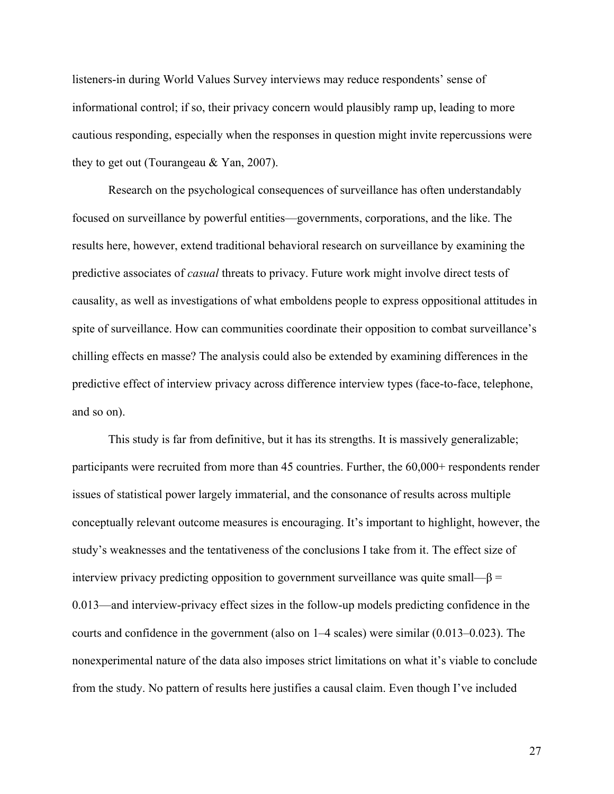listeners-in during World Values Survey interviews may reduce respondents' sense of informational control; if so, their privacy concern would plausibly ramp up, leading to more cautious responding, especially when the responses in question might invite repercussions were they to get out (Tourangeau & Yan, 2007).

Research on the psychological consequences of surveillance has often understandably focused on surveillance by powerful entities—governments, corporations, and the like. The results here, however, extend traditional behavioral research on surveillance by examining the predictive associates of *casual* threats to privacy. Future work might involve direct tests of causality, as well as investigations of what emboldens people to express oppositional attitudes in spite of surveillance. How can communities coordinate their opposition to combat surveillance's chilling effects en masse? The analysis could also be extended by examining differences in the predictive effect of interview privacy across difference interview types (face-to-face, telephone, and so on).

This study is far from definitive, but it has its strengths. It is massively generalizable; participants were recruited from more than 45 countries. Further, the 60,000+ respondents render issues of statistical power largely immaterial, and the consonance of results across multiple conceptually relevant outcome measures is encouraging. It's important to highlight, however, the study's weaknesses and the tentativeness of the conclusions I take from it. The effect size of interview privacy predicting opposition to government surveillance was quite small— $\beta$  = 0.013—and interview-privacy effect sizes in the follow-up models predicting confidence in the courts and confidence in the government (also on 1–4 scales) were similar (0.013–0.023). The nonexperimental nature of the data also imposes strict limitations on what it's viable to conclude from the study. No pattern of results here justifies a causal claim. Even though I've included

27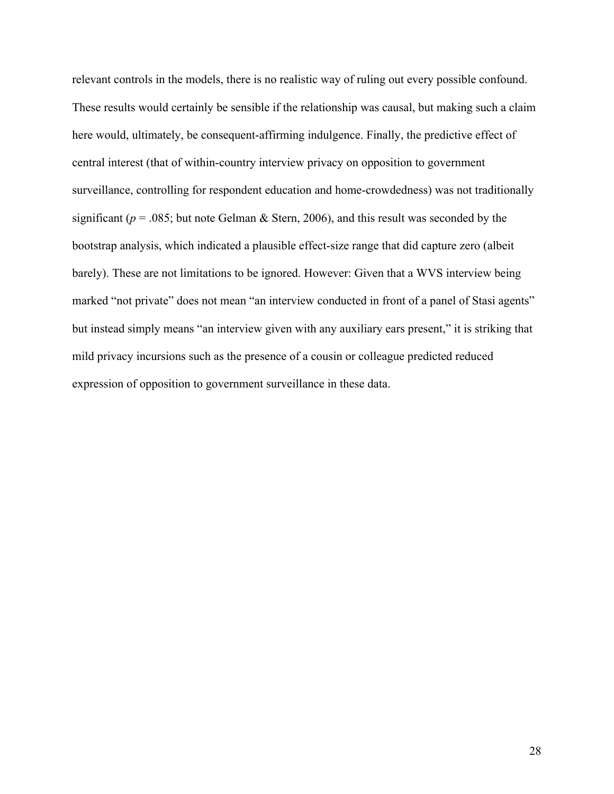relevant controls in the models, there is no realistic way of ruling out every possible confound. These results would certainly be sensible if the relationship was causal, but making such a claim here would, ultimately, be consequent-affirming indulgence. Finally, the predictive effect of central interest (that of within-country interview privacy on opposition to government surveillance, controlling for respondent education and home-crowdedness) was not traditionally significant ( $p = .085$ ; but note Gelman & Stern, 2006), and this result was seconded by the bootstrap analysis, which indicated a plausible effect-size range that did capture zero (albeit barely). These are not limitations to be ignored. However: Given that a WVS interview being marked "not private" does not mean "an interview conducted in front of a panel of Stasi agents" but instead simply means "an interview given with any auxiliary ears present," it is striking that mild privacy incursions such as the presence of a cousin or colleague predicted reduced expression of opposition to government surveillance in these data.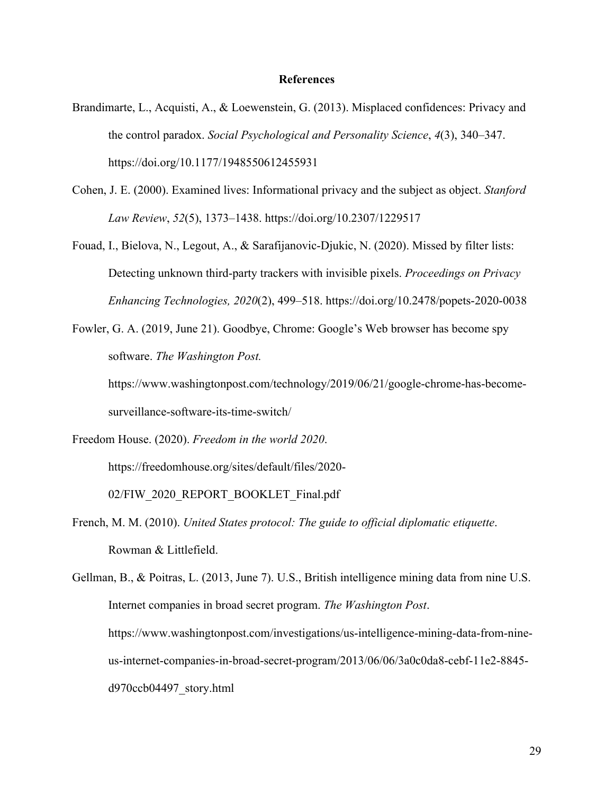#### **References**

- Brandimarte, L., Acquisti, A., & Loewenstein, G. (2013). Misplaced confidences: Privacy and the control paradox. *Social Psychological and Personality Science*, *4*(3), 340–347. https://doi.org/10.1177/1948550612455931
- Cohen, J. E. (2000). Examined lives: Informational privacy and the subject as object. *Stanford Law Review*, *52*(5), 1373–1438. https://doi.org/10.2307/1229517
- Fouad, I., Bielova, N., Legout, A., & Sarafijanovic-Djukic, N. (2020). Missed by filter lists: Detecting unknown third-party trackers with invisible pixels. *Proceedings on Privacy Enhancing Technologies, 2020*(2), 499–518. https://doi.org/10.2478/popets-2020-0038
- Fowler, G. A. (2019, June 21). Goodbye, Chrome: Google's Web browser has become spy software. *The Washington Post.*

https://www.washingtonpost.com/technology/2019/06/21/google-chrome-has-becomesurveillance-software-its-time-switch/

Freedom House. (2020). *Freedom in the world 2020*.

https://freedomhouse.org/sites/default/files/2020-

02/FIW\_2020\_REPORT\_BOOKLET\_Final.pdf

French, M. M. (2010). *United States protocol: The guide to official diplomatic etiquette*. Rowman & Littlefield.

Gellman, B., & Poitras, L. (2013, June 7). U.S., British intelligence mining data from nine U.S. Internet companies in broad secret program. *The Washington Post*. https://www.washingtonpost.com/investigations/us-intelligence-mining-data-from-nineus-internet-companies-in-broad-secret-program/2013/06/06/3a0c0da8-cebf-11e2-8845 d970ccb04497\_story.html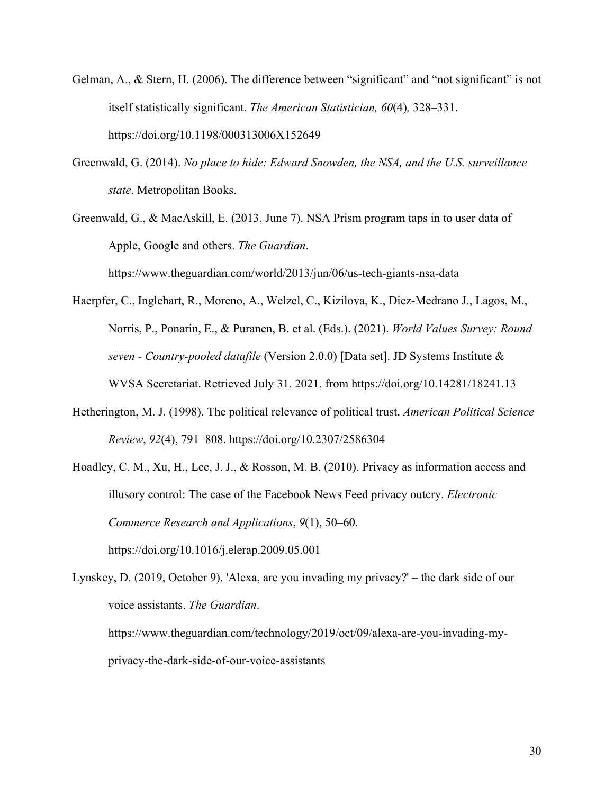- Gelman, A., & Stern, H. (2006). The difference between "significant" and "not significant" is not itself statistically significant. *The American Statistician, 60*(4)*,* 328–331. https://doi.org/10.1198/000313006X152649
- Greenwald, G. (2014). *No place to hide: Edward Snowden, the NSA, and the U.S. surveillance state*. Metropolitan Books.
- Greenwald, G., & MacAskill, E. (2013, June 7). NSA Prism program taps in to user data of Apple, Google and others. *The Guardian*. https://www.theguardian.com/world/2013/jun/06/us-tech-giants-nsa-data
- Haerpfer, C., Inglehart, R., Moreno, A., Welzel, C., Kizilova, K., Diez-Medrano J., Lagos, M., Norris, P., Ponarin, E., & Puranen, B. et al. (Eds.). (2021). *World Values Survey: Round seven - Country-pooled datafile* (Version 2.0.0) [Data set]. JD Systems Institute & WVSA Secretariat. Retrieved July 31, 2021, from https://doi.org/10.14281/18241.13
- Hetherington, M. J. (1998). The political relevance of political trust. *American Political Science Review*, *92*(4), 791–808. https://doi.org/10.2307/2586304
- Hoadley, C. M., Xu, H., Lee, J. J., & Rosson, M. B. (2010). Privacy as information access and illusory control: The case of the Facebook News Feed privacy outcry. *Electronic Commerce Research and Applications*, *9*(1), 50–60.

https://doi.org/10.1016/j.elerap.2009.05.001

Lynskey, D. (2019, October 9). 'Alexa, are you invading my privacy?' – the dark side of our voice assistants. *The Guardian*. https://www.theguardian.com/technology/2019/oct/09/alexa-are-you-invading-myprivacy-the-dark-side-of-our-voice-assistants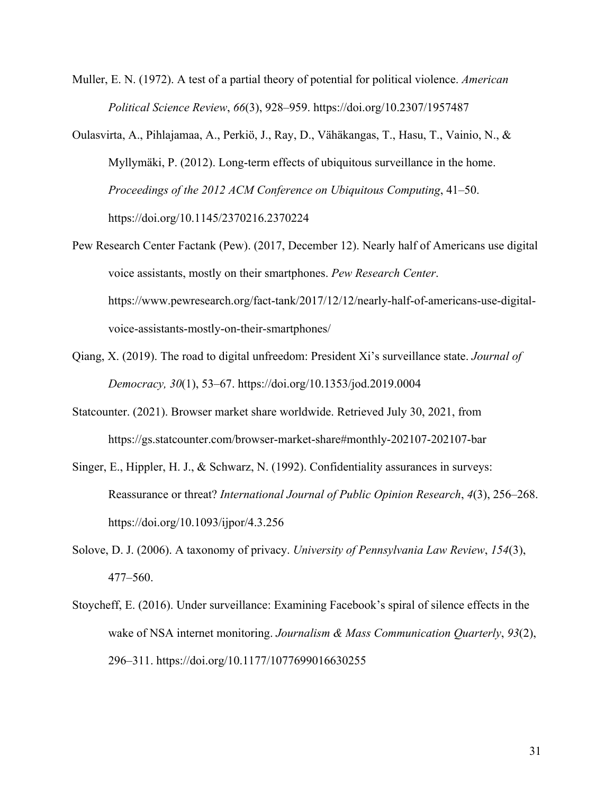- Muller, E. N. (1972). A test of a partial theory of potential for political violence. *American Political Science Review*, *66*(3), 928–959. https://doi.org/10.2307/1957487
- Oulasvirta, A., Pihlajamaa, A., Perkiö, J., Ray, D., Vähäkangas, T., Hasu, T., Vainio, N., & Myllymäki, P. (2012). Long-term effects of ubiquitous surveillance in the home. *Proceedings of the 2012 ACM Conference on Ubiquitous Computing*, 41–50. https://doi.org/10.1145/2370216.2370224
- Pew Research Center Factank (Pew). (2017, December 12). Nearly half of Americans use digital voice assistants, mostly on their smartphones. *Pew Research Center*. https://www.pewresearch.org/fact-tank/2017/12/12/nearly-half-of-americans-use-digitalvoice-assistants-mostly-on-their-smartphones/
- Qiang, X. (2019). The road to digital unfreedom: President Xi's surveillance state. *Journal of Democracy, 30*(1), 53–67. https://doi.org/10.1353/jod.2019.0004
- Statcounter. (2021). Browser market share worldwide. Retrieved July 30, 2021, from https://gs.statcounter.com/browser-market-share#monthly-202107-202107-bar
- Singer, E., Hippler, H. J., & Schwarz, N. (1992). Confidentiality assurances in surveys: Reassurance or threat? *International Journal of Public Opinion Research*, *4*(3), 256–268. https://doi.org/10.1093/ijpor/4.3.256
- Solove, D. J. (2006). A taxonomy of privacy. *University of Pennsylvania Law Review*, *154*(3), 477–560.
- Stoycheff, E. (2016). Under surveillance: Examining Facebook's spiral of silence effects in the wake of NSA internet monitoring. *Journalism & Mass Communication Quarterly*, *93*(2), 296–311. https://doi.org/10.1177/1077699016630255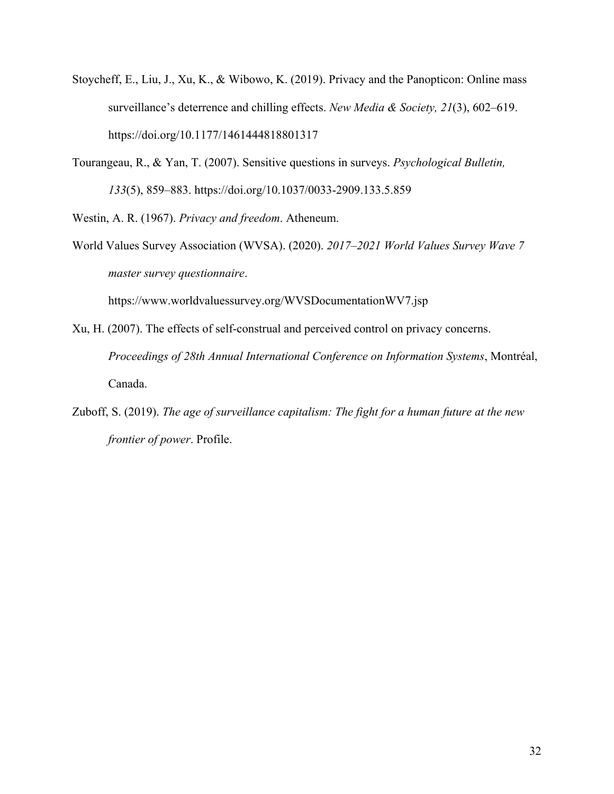- Stoycheff, E., Liu, J., Xu, K., & Wibowo, K. (2019). Privacy and the Panopticon: Online mass surveillance's deterrence and chilling effects. *New Media & Society, 21*(3), 602–619. https://doi.org/10.1177/1461444818801317
- Tourangeau, R., & Yan, T. (2007). Sensitive questions in surveys. *Psychological Bulletin, 133*(5), 859–883. https://doi.org/10.1037/0033-2909.133.5.859

Westin, A. R. (1967). *Privacy and freedom*. Atheneum.

World Values Survey Association (WVSA). (2020). *2017–2021 World Values Survey Wave 7 master survey questionnaire*.

https://www.worldvaluessurvey.org/WVSDocumentationWV7.jsp

- Xu, H. (2007). The effects of self-construal and perceived control on privacy concerns. *Proceedings of 28th Annual International Conference on Information Systems*, Montréal, Canada.
- Zuboff, S. (2019). *The age of surveillance capitalism: The fight for a human future at the new frontier of power*. Profile.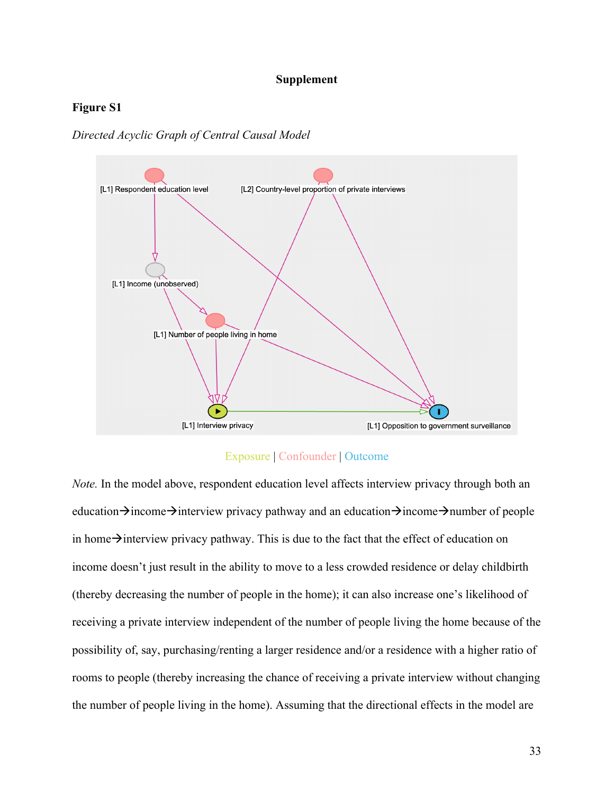### **Supplement**

## **Figure S1**

*Directed Acyclic Graph of Central Causal Model*



## Exposure | Confounder | Outcome

*Note.* In the model above, respondent education level affects interview privacy through both an education $\rightarrow$ income $\rightarrow$ interview privacy pathway and an education $\rightarrow$ income $\rightarrow$ number of people in home $\rightarrow$ interview privacy pathway. This is due to the fact that the effect of education on income doesn't just result in the ability to move to a less crowded residence or delay childbirth (thereby decreasing the number of people in the home); it can also increase one's likelihood of receiving a private interview independent of the number of people living the home because of the possibility of, say, purchasing/renting a larger residence and/or a residence with a higher ratio of rooms to people (thereby increasing the chance of receiving a private interview without changing the number of people living in the home). Assuming that the directional effects in the model are